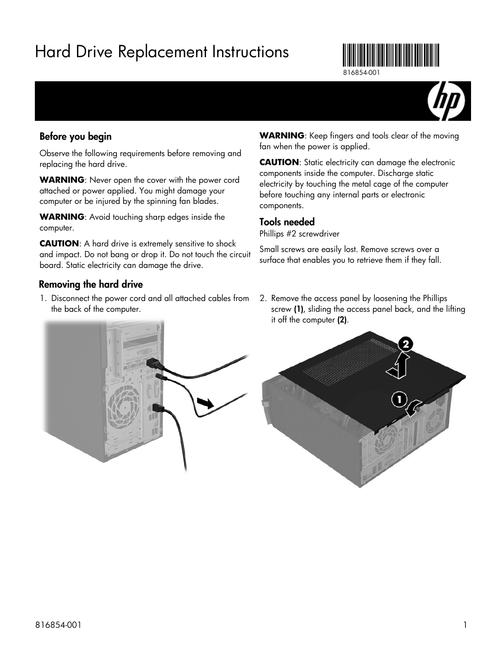# Hard Drive Replacement Instructions



816854-001



# Before you begin

Observe the following requirements before removing and replacing the hard drive.

**WARNING**: Never open the cover with the power cord attached or power applied. You might damage your computer or be injured by the spinning fan blades.

**WARNING**: Avoid touching sharp edges inside the computer.

**CAUTION**: A hard drive is extremely sensitive to shock and impact. Do not bang or drop it. Do not touch the circuit board. Static electricity can damage the drive.

## Removing the hard drive

1. Disconnect the power cord and all attached cables from the back of the computer.

#### **WARNING**: Keep fingers and tools clear of the moving fan when the power is applied.

**CAUTION**: Static electricity can damage the electronic components inside the computer. Discharge static electricity by touching the metal cage of the computer before touching any internal parts or electronic components.

### Tools needed

Phillips #2 screwdriver

Small screws are easily lost. Remove screws over a surface that enables you to retrieve them if they fall.

2. Remove the access panel by loosening the Phillips screw (1), sliding the access panel back, and the lifting it off the computer (2).



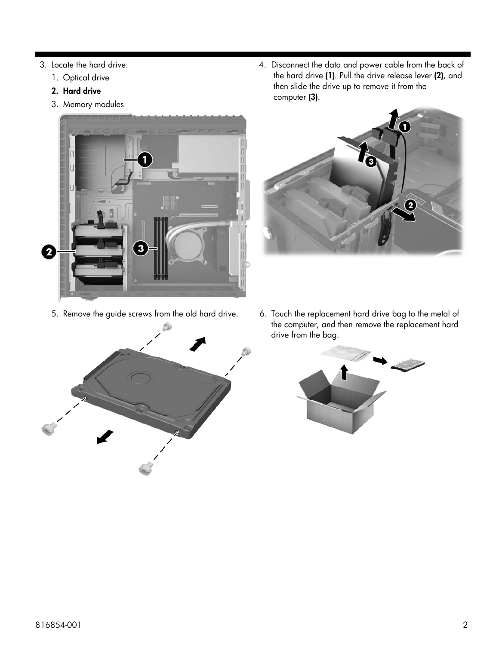- 3. Locate the hard drive:
	- 1. Optical drive
	- 2. Hard drive
	- 3. Memory modules





4. Disconnect the data and power cable from the back of the hard drive (1). Pull the drive release lever (2), and then slide the drive up to remove it from the computer (3).



5. Remove the guide screws from the old hard drive. 6. Touch the replacement hard drive bag to the metal of the computer, and then remove the replacement hard drive from the bag.

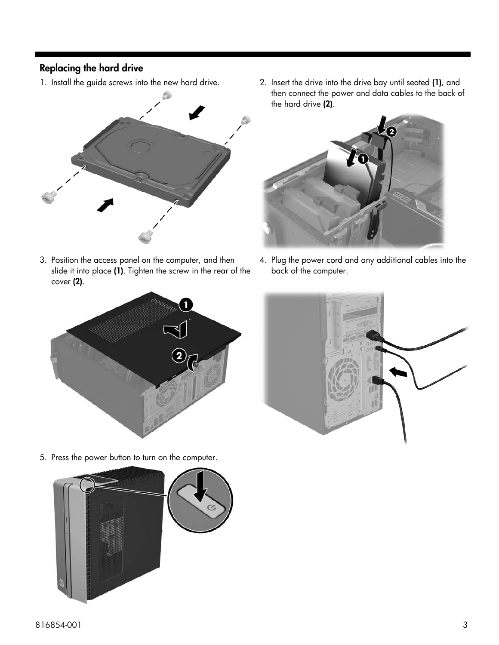# Replacing the hard drive



3. Position the access panel on the computer, and then slide it into place (1). Tighten the screw in the rear of the cover (2).

1. Install the guide screws into the new hard drive. 2. Insert the drive into the drive bay until seated (1), and then connect the power and data cables to the back of the hard drive (2).



4. Plug the power cord and any additional cables into the back of the computer.





5. Press the power button to turn on the computer.